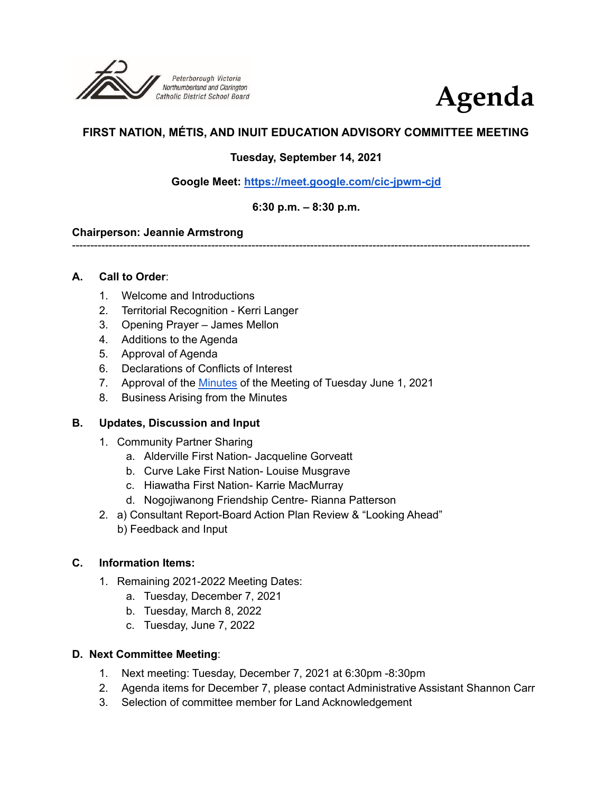



# **FIRST NATION, MÉTIS, AND INUIT EDUCATION ADVISORY COMMITTEE MEETING**

## **Tuesday, September 14, 2021**

**Google Meet: <https://meet.google.com/cic-jpwm-cjd>**

### **6:30 p.m. – 8:30 p.m.**

#### **Chairperson: Jeannie Armstrong**

-----------------------------------------------------------------------------------------------------------------------------

### **A. Call to Order**:

- 1. Welcome and Introductions
- 2. Territorial Recognition Kerri Langer
- 3. Opening Prayer James Mellon
- 4. Additions to the Agenda
- 5. Approval of Agenda
- 6. Declarations of Conflicts of Interest
- 7. Approval of the [Minutes](https://drive.google.com/file/d/15n791nVQA-hkjkSkpqfQsiXkZ8fkv9L7/view?usp=sharing) of the Meeting of Tuesday June 1, 2021
- 8. Business Arising from the Minutes

### **B. Updates, Discussion and Input**

- 1. Community Partner Sharing
	- a. Alderville First Nation- Jacqueline Gorveatt
	- b. Curve Lake First Nation- Louise Musgrave
	- c. Hiawatha First Nation- Karrie MacMurray
	- d. Nogojiwanong Friendship Centre- Rianna Patterson
- 2. a) Consultant Report-Board Action Plan Review & "Looking Ahead" b) Feedback and Input

### **C. Information Items:**

- 1. Remaining 2021-2022 Meeting Dates:
	- a. Tuesday, December 7, 2021
	- b. Tuesday, March 8, 2022
	- c. Tuesday, June 7, 2022

### **D. Next Committee Meeting**:

- 1. Next meeting: Tuesday, December 7, 2021 at 6:30pm -8:30pm
- 2. Agenda items for December 7, please contact Administrative Assistant Shannon Carr
- 3. Selection of committee member for Land Acknowledgement